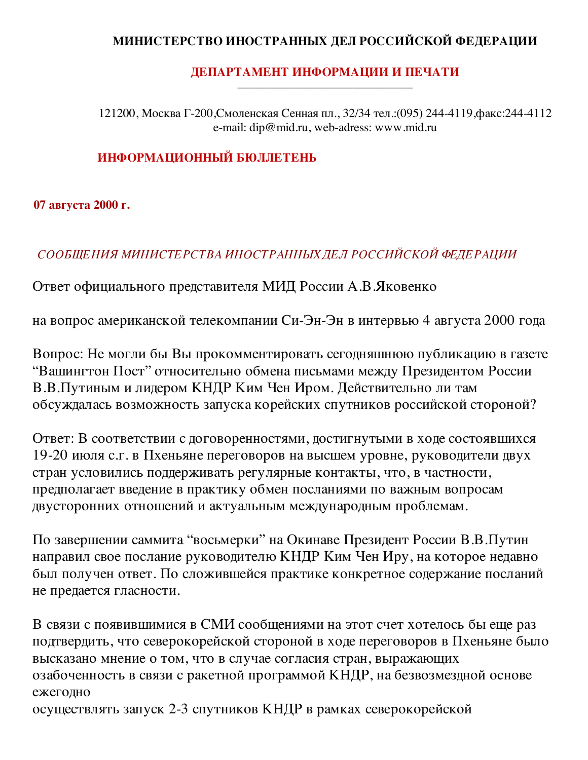# МИНИСТЕРСТВО ИНОСТРАННЫХ ДЕЛ РОССИЙСКОЙ ФЕДЕРАЦИИ

#### ДЕПАРТАМЕНТ ИНФОРМАЦИИ И ПЕЧАТИ

121200, Москва Г-200, Смоленская Сенная пл., 32/34 тел.: (095) 244-4119, факс: 244-4112 e-mail: dip@mid.ru, web-adress: www.mid.ru

## ИНФОРМАЦИОННЫЙ БЮЛЛЕТЕНЬ

#### <u>07 августа 2000 г.</u>

# СООБЩЕНИЯ МИНИСТЕРСТВА ИНОСТРАННЫХ ДЕЛ РОССИЙСКОЙ ФЕДЕРАЦИИ

Ответ официального представителя МИД России А.В. Яковенко

на вопрос американской телекомпании Си-Эн-Эн в интервью 4 августа 2000 года

Вопрос: Не могли бы Вы прокомментировать сегодняшнюю публикацию в газете "Вашингтон Пост" относительно обмена письмами между Президентом России В.В.Путиным и лидером КНДР Ким Чен Иром. Действительно ли там обсуждалась возможность запуска корейских спутников российской стороной?

Ответ: В соответствии с договоренностями, достигнутыми в ходе состоявшихся 19-20 июля с.г. в Пхеньяне переговоров на высшем уровне, руководители двух стран условились поддерживать регулярные контакты, что, в частности, предполагает введение в практику обмен посланиями по важным вопросам двусторонних отношений и актуальным международным проблемам.

По завершении саммита "восьмерки" на Окинаве Президент России В.В.Путин направил свое послание руководителю КНДР Ким Чен Иру, на которое недавно был получен ответ. По сложившейся практике конкретное содержание посланий не предается гласности.

В связи с появившимися в СМИ сообщениями на этот счет хотелось бы еще раз подтвердить, что северокорейской стороной в ходе переговоров в Пхеньяне было высказано мнение о том, что в случае согласия стран, выражающих озабоченность в связи с ракетной программой КНДР, на безвозмездной основе ежегодно

осуществлять запуск 2-3 спутников КНДР в рамках северокорейской